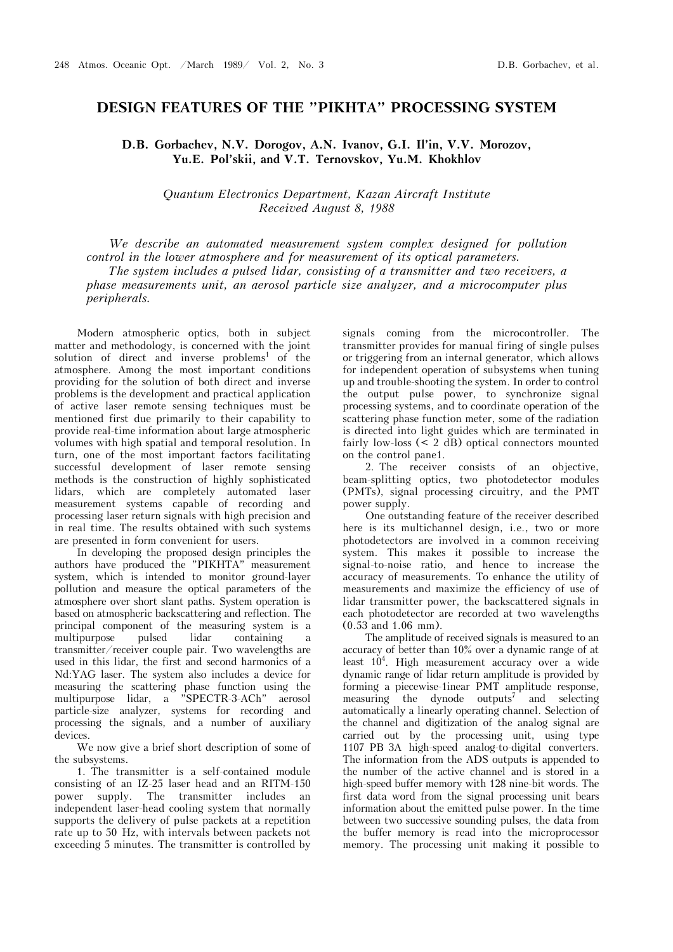## **DESIGN FEATURES OF THE "PIKHTA" PROCESSING SYSTEM**

**D.B. Gorbachev, N.V. Dorogov, A.N. Ivanov, G.I. Il'in, V.V. Morozov,**  Yu.E. Pol'skii, and V.T. Ternovskov, Yu.M. Khokhlov

*Quantum Electronics Department, Kazan Aircraft Institute Received August 8, 1988* 

*We describe an automated measurement system complex designed for pollution control in the lower atmosphere and for measurement of its optical parameters. The system includes a pulsed lidar, consisting of a transmitter and two receivers, a phase measurements unit, an aerosol particle size analyzer, and a microcomputer plus peripherals.*

Modern atmospheric optics, both in subject matter and methodology, is concerned with the joint solution of direct and inverse problems<sup>1</sup> of the atmosphere. Among the most important conditions providing for the solution of both direct and inverse problems is the development and practical application of active laser remote sensing techniques must be mentioned first due primarily to their capability to provide real-time information about large atmospheric volumes with high spatial and temporal resolution. In turn, one of the most important factors facilitating successful development of laser remote sensing methods is the construction of highly sophisticated lidars, which are completely automated laser measurement systems capable of recording and processing laser return signals with high precision and in real time. The results obtained with such systems are presented in form convenient for users.

In developing the proposed design principles the authors have produced the "PIKHTA" measurement system, which is intended to monitor ground-layer pollution and measure the optical parameters of the atmosphere over short slant paths. System operation is based on atmospheric backscattering and reflection. The principal component of the measuring system is a multipurpose pulsed lidar containing a transmitter/receiver couple pair. Two wavelengths are used in this lidar, the first and second harmonics of a Nd:YAG laser. The system also includes a device for measuring the scattering phase function using the multipurpose lidar, a "SPECTR-3-ACh" aerosol particle-size analyzer, systems for recording and processing the signals, and a number of auxiliary devices.

We now give a brief short description of some of the subsystems.

1. The transmitter is a self-contained module consisting of an IZ-25 laser head and an RITM-150 power supply. The transmitter includes an independent laser-head cooling system that normally supports the delivery of pulse packets at a repetition rate up to 50 Hz, with intervals between packets not exceeding 5 minutes. The transmitter is controlled by

signals coming from the microcontroller. The transmitter provides for manual firing of single pulses or triggering from an internal generator, which allows for independent operation of subsystems when tuning up and trouble-shooting the system. In order to control the output pulse power, to synchronize signal processing systems, and to coordinate operation of the scattering phase function meter, some of the radiation is directed into light guides which are terminated in fairly low-loss (< 2 dB) optical connectors mounted on the control pane1.

2. The receiver consists of an objective, beam-splitting optics, two photodetector modules (PMTs), signal processing circuitry, and the PMT power supply.

One outstanding feature of the receiver described here is its multichannel design, i.e., two or more photodetectors are involved in a common receiving system. This makes it possible to increase the signal-to-noise ratio, and hence to increase the accuracy of measurements. To enhance the utility of measurements and maximize the efficiency of use of lidar transmitter power, the backscattered signals in each photodetector are recorded at two wavelengths (0.53 and 1.06 mm).

The amplitude of received signals is measured to an accuracy of better than 10% over a dynamic range of at least  $10^4$ . High measurement accuracy over a wide dynamic range of lidar return amplitude is provided by forming a piecewise-1inear PMT amplitude response, measuring the dynode outputs<sup>7</sup> and selecting automatically a linearly operating channel. Selection of the channel and digitization of the analog signal are carried out by the processing unit, using type 1107 PB 3À high-speed analog-to-digital converters. The information from the ADS outputs is appended to the number of the active channel and is stored in a high-speed buffer memory with 128 nine-bit words. The first data word from the signal processing unit bears information about the emitted pulse power. In the time between two successive sounding pulses, the data from the buffer memory is read into the microprocessor memory. The processing unit making it possible to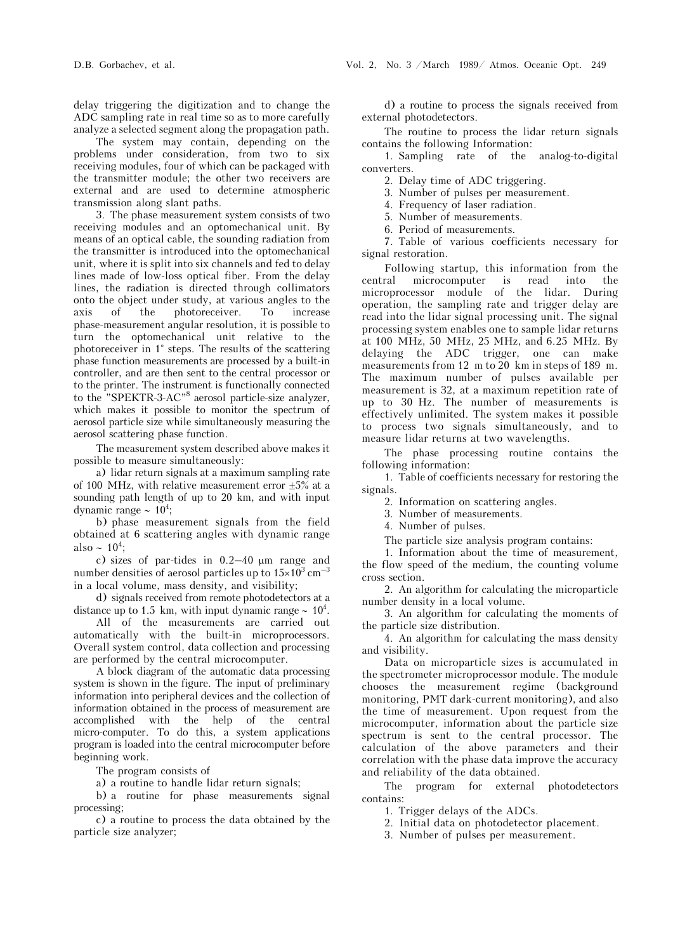delay triggering the digitization and to change the ADC sampling rate in real time so as to more carefully analyze a selected segment along the propagation path.

The system may contain, depending on the problems under consideration, from two to six receiving modules, four of which can be packaged with the transmitter module; the other two receivers are external and are used to determine atmospheric transmission along slant paths.

3. The phase measurement system consists of two receiving modules and an optomechanical unit. By means of an optical cable, the sounding radiation from the transmitter is introduced into the optomechanical unit, where it is split into six channels and fed to delay lines made of low-loss optical fiber. From the delay lines, the radiation is directed through collimators onto the object under study, at various angles to the axis of the photoreceiver. To increase phase-measurement angular resolution, it is possible to turn the optomechanical unit relative to the photoreceiver in 1° steps. The results of the scattering phase function measurements are processed by a built-in controller, and are then sent to the central processor or to the printer. The instrument is functionally connected to the "SPEKTR-3-AC"8 aerosol particle-size analyzer, which makes it possible to monitor the spectrum of aerosol particle size while simultaneously measuring the aerosol scattering phase function.

The measurement system described above makes it possible to measure simultaneously:

a) lidar return signals at a maximum sampling rate of 100 MHz, with relative measurement error  $\pm 5\%$  at a sounding path length of up to 20 km, and with input dynamic range  $\sim 10^4$ ;

b) phase measurement signals from the field obtained at 6 scattering angles with dynamic range also  $\sim 10^4$ ;

c) sizes of par-tides in  $0.2-40 \mu m$  range and number densities of aerosol particles up to  $15\times10^{3}$  cm<sup>-3</sup> in a local volume, mass density, and visibility;

d) signals received from remote photodetectors at a distance up to 1.5 km, with input dynamic range  $\sim 10^4$ .

All of the measurements are carried out automatically with the built-in microprocessors. Overall system control, data collection and processing are performed by the central microcomputer.

A block diagram of the automatic data processing system is shown in the figure. The input of preliminary information into peripheral devices and the collection of information obtained in the process of measurement are accomplished with the help of the central micro-computer. To do this, a system applications program is loaded into the central microcomputer before beginning work.

The program consists of

a) a routine to handle lidar return signals;

b) a routine for phase measurements signal processing;

c) a routine to process the data obtained by the particle size analyzer;

d) a routine to process the signals received from external photodetectors.

The routine to process the lidar return signals contains the following Information:

1. Sampling rate of the analog-to-digital converters.

2. Delay time of ADC triggering.

3. Number of pulses per measurement.

4. Frequency of laser radiation.

5. Number of measurements.

6. Period of measurements.

7. Table of various coefficients necessary for signal restoration.

Following startup, this information from the central microcomputer is read into the microprocessor module of the lidar. During operation, the sampling rate and trigger delay are read into the lidar signal processing unit. The signal processing system enables one to sample lidar returns at 100 MHz, 50 MHz, 25 MHz, and 6.25 MHz. By delaying the ADC trigger, one can make measurements from 12 m to 20 km in steps of 189 m. The maximum number of pulses available per measurement is 32, at a maximum repetition rate of up to 30 Hz. The number of measurements is effectively unlimited. The system makes it possible to process two signals simultaneously, and to measure lidar returns at two wavelengths.

The phase processing routine contains the following information:

1. Table of coefficients necessary for restoring the signals.

2. Information on scattering angles.

3. Number of measurements.

4. Number of pulses.

The particle size analysis program contains:

1. Information about the time of measurement, the flow speed of the medium, the counting volume cross section.

2. An algorithm for calculating the microparticle number density in a local volume.

3. An algorithm for calculating the moments of the particle size distribution.

4. An algorithm for calculating the mass density and visibility.

Data on microparticle sizes is accumulated in the spectrometer microprocessor module. The module chooses the measurement regime (background monitoring, PMT dark-current monitoring), and also the time of measurement. Upon request from the microcomputer, information about the particle size spectrum is sent to the central processor. The calculation of the above parameters and their correlation with the phase data improve the accuracy and reliability of the data obtained.

The program for external photodetectors contains:

1. Trigger delays of the ADCs.

2. Initial data on photodetector placement.

3. Number of pulses per measurement.